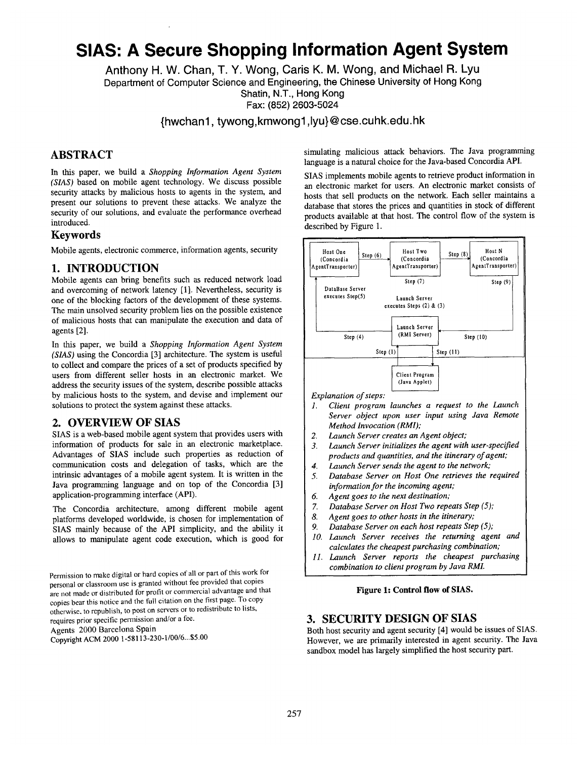# **SIAS: A Secure Shopping Information Agent System**

**Anthony H. W. Chan, T. Y. Wong, Caris K. M. Wong, and Michael R. Lyu Department of Computer Science and Engineering, the Chinese University of Hong Kong Shatin, N.T., Hong Kong Fax: (852) 2603-5024** 

**{hwchanl, tywongskmwongl ,lyu}@cse.cuhk.edu.hk** 

## **ABSTRACT**

In this paper, we build a *Shopping Information Agent System (SIAS)* based on mobile agent technology. We discuss possible security attacks by malicious hosts to agents in the system, and present our solutions to prevent these attacks. We analyze the security of our solutions, and evaluate the performance overhead introduced.

#### **Keywords**

Mobile agents, electronic commerce, information agents, security

## **1. INTRODUCTION**

Mobile agents can bring benefits such as reduced network load and overcoming of network latency [1]. Nevertheless, security is one of the blocking factors of the development of these systems. The main unsolved security problem lies on the possible existence of malicious hosts that can manipulate the execution and data of agents [2].

In this paper, we build a *Shopping Information Agent System (SIAS)* using the Concordia [3] architecture. The system is useful to collect and compare the prices of a set of products specified by users from different seller hosts in an electronic market. We address the security issues of the system, describe possible attacks by malicious hosts to the system, and devise and implement our solutions to protect the system against these attacks.

## **2. OVERVIEW OF** SIAS

SIAS is a web-based mobile agent system that provides users with information of products for sale in an electronic marketplace. Advantages of SIAS include such properties as reduction of communication costs and delegation of tasks, which are the intrinsic advantages of a mobile agent system. It is written in the Java programming language and on top of the Concordia [3] application-programming interface (API).

The Concordia architecture, among different mobile agent platforms developed worldwide, is chosen for implementation of SIAS mainly because of the API simplicity, and the ability it allows to manipulate agent code execution, which is good for

Permission to make digital or hard copies of all or part of this work for personal or classroom use is granted without fee provided that copies are not made or distributed for profit or commercial advantage and that copies bear this notice and the full citation on the first page. To copy otherwise, to republish, to post on servers or to redistribute to lists, requires prior specific permission and/or a fee.

Agents 2000 Barcelona Spain

Copyright ACM 2000 1-58113-230-1/00/6...\$5.00

simulating malicious attack behaviors. The Java programming language is a natural choice for the Java-based Concordia API.

SIAS implements mobile agents to retrieve product information in an electronic market for users. An electronic market consists of hosts that sell products on the network. Each seller maintains a database that stores the prices and quantities in stock of different products available at that host. The control flow of the system is described by Figure 1.



*Explanation of steps:* 

- *1. Client program launches a request to the Launch Server object upon user input using Java Remote Method Invocation (RMI);*
- *2. Launch Server creates an Agent object;*
- *3. Launch Server initializes the agent with user-specified products and quantities, and the itinerary of agent;*
- *4. Launch Server sends the agent to the network;*
- *5. Database Server on Host One retrieves the required information for the incoming agent;*
- *6. Agent goes to the next destination;*
- *7. Database Server on Host Two repeats Step (5);*
- *8. Agent goes to other hosts in the itinerary;*
- *9. Database Server on each host repeats Step (5);*
- *10. Launch Server receives the returning agent and calculates the cheapest purchasing combination;*
- *11. Launch Server reports the cheapest purchasing combination to client program by Java RMI.*

#### **Figure 1: Control flow of SIAS.**

## **3. SECURITY DESIGN OF** SIAS

Both host security and agent security [4] would be issues of SIAS. However, we are primarily interested in agent security. The Java sandbox model has largely simplified the host security part.